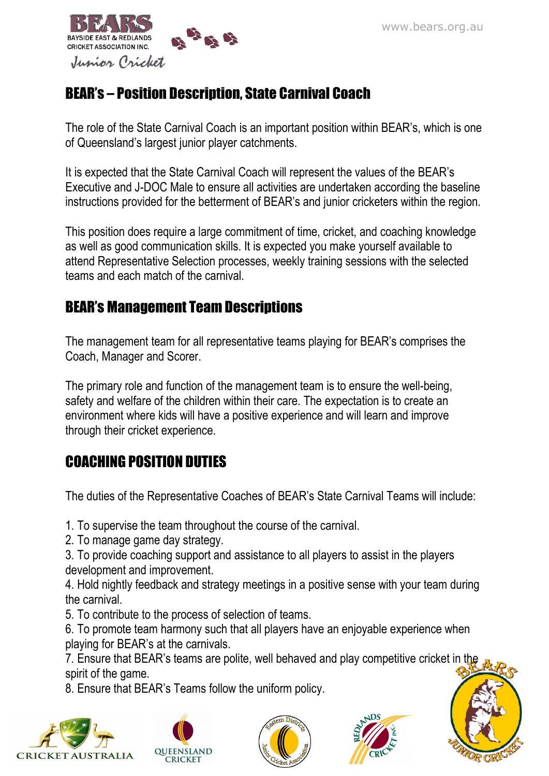

# BEAR's – Position Description, State Carnival Coach

The role of the State Carnival Coach is an important position within BEAR's, which is one of Queensland's largest junior player catchments.

It is expected that the State Carnival Coach will represent the values of the BEAR's Executive and J-DOC Male to ensure all activities are undertaken according the baseline instructions provided for the betterment of BEAR's and junior cricketers within the region.

This position does require a large commitment of time, cricket, and coaching knowledge as well as good communication skills. It is expected you make yourself available to attend Representative Selection processes, weekly training sessions with the selected teams and each match of the carnival.

### BEAR's Management Team Descriptions

The management team for all representative teams playing for BEAR's comprises the Coach, Manager and Scorer.

The primary role and function of the management team is to ensure the well-being, safety and welfare of the children within their care. The expectation is to create an environment where kids will have a positive experience and will learn and improve through their cricket experience.

### COACHING POSITION DUTIES

The duties of the Representative Coaches of BEAR's State Carnival Teams will include:

1. To supervise the team throughout the course of the carnival.

2. To manage game day strategy.

3. To provide coaching support and assistance to all players to assist in the players development and improvement.

4. Hold nightly feedback and strategy meetings in a positive sense with your team during the carnival.

5. To contribute to the process of selection of teams.

6. To promote team harmony such that all players have an enjoyable experience when playing for BEAR's at the carnivals.

7. Ensure that BEAR's teams are polite, well behaved and play competitive cricket in the spirit of the game.

8. Ensure that BEAR's Teams follow the uniform policy.









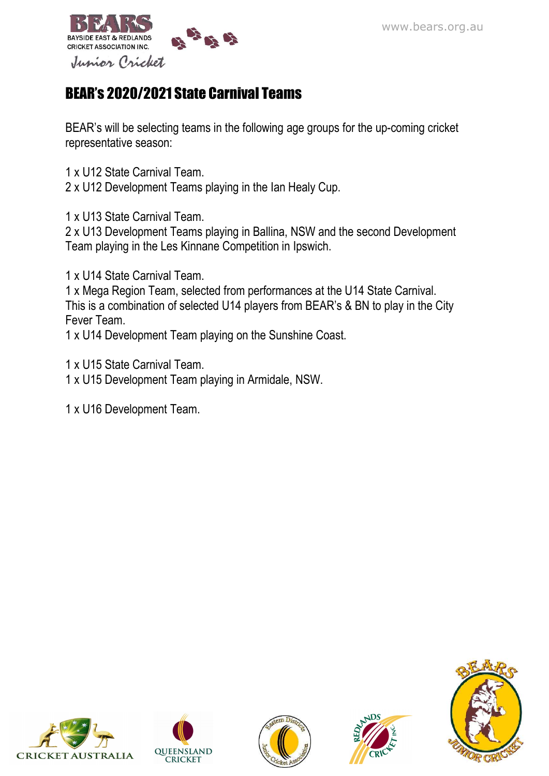

# BEAR's 2020/2021 State Carnival Teams

BEAR's will be selecting teams in the following age groups for the up-coming cricket representative season:

1 x U12 State Carnival Team.

2 x U12 Development Teams playing in the Ian Healy Cup.

1 x U13 State Carnival Team.

2 x U13 Development Teams playing in Ballina, NSW and the second Development Team playing in the Les Kinnane Competition in Ipswich.

1 x U14 State Carnival Team.

1 x Mega Region Team, selected from performances at the U14 State Carnival. This is a combination of selected U14 players from BEAR's & BN to play in the City Fever Team.

1 x U14 Development Team playing on the Sunshine Coast.

1 x U15 State Carnival Team. 1 x U15 Development Team playing in Armidale, NSW.

1 x U16 Development Team.